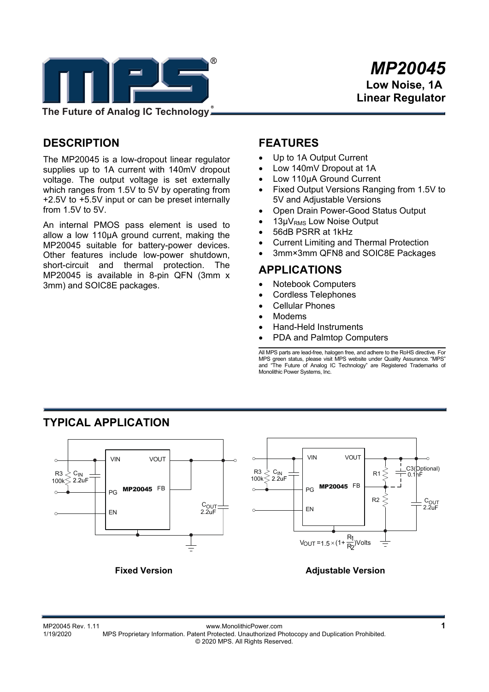

## **DESCRIPTION**

The MP20045 is a low-dropout linear regulator supplies up to 1A current with 140mV dropout voltage. The output voltage is set externally which ranges from 1.5V to 5V by operating from +2.5V to +5.5V input or can be preset internally from 1.5V to 5V.

An internal PMOS pass element is used to allow a low 110μA ground current, making the MP20045 suitable for battery-power devices. Other features include low-power shutdown, short-circuit and thermal protection. The MP20045 is available in 8-pin QFN (3mm x 3mm) and SOIC8E packages.

## **FEATURES**

- Up to 1A Output Current
- Low 140mV Dropout at 1A
- Low 110μA Ground Current
- Fixed Output Versions Ranging from 1.5V to 5V and Adjustable Versions
- Open Drain Power-Good Status Output
- 13μV<sub>RMS</sub> Low Noise Output
- 56dB PSRR at 1kHz
- Current Limiting and Thermal Protection
- 3mm×3mm QFN8 and SOIC8E Packages

### **APPLICATIONS**

- Notebook Computers
- Cordless Telephones
- Cellular Phones
- Modems
- Hand-Held Instruments
- PDA and Palmtop Computers

All MPS parts are lead-free, halogen free, and adhere to the RoHS directive. For MPS green status, please visit MPS website under Quality Assurance. "MPS" and "The Future of Analog IC Technology" are Registered Trademarks of Monolithic Power Systems, Inc.



# **TYPICAL APPLICATION**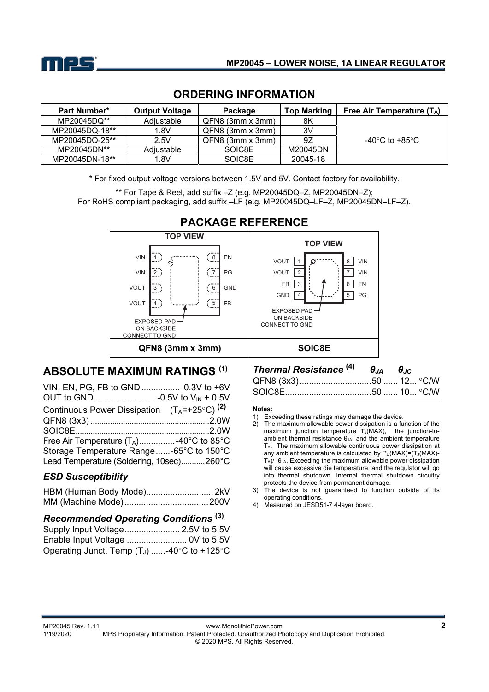

| <b>Part Number*</b> | <b>Output Voltage</b> | Package              | <b>Top Marking</b> | Free Air Temperature $(T_A)$ |
|---------------------|-----------------------|----------------------|--------------------|------------------------------|
| MP20045DQ**         | Adiustable            | $QFN8$ (3mm $x$ 3mm) | 8K                 |                              |
| MP20045DQ-18**      | 1.8V                  | $QFN8$ (3mm $x$ 3mm) | ЗV                 |                              |
| MP20045DQ-25**      | 2.5V                  | $QFN8$ (3mm $x$ 3mm) | 9Ζ                 | -40°C to +85°C               |
| MP20045DN**         | Adiustable            | SOIC8E               | M20045DN           |                              |
| MP20045DN-18**      | 1.8V                  | SOIC8E               | 20045-18           |                              |

### **ORDERING INFORMATION**

\* For fixed output voltage versions between 1.5V and 5V. Contact factory for availability.

\*\* For Tape & Reel, add suffix –Z (e.g. MP20045DQ–Z, MP20045DN–Z); For RoHS compliant packaging, add suffix –LF (e.g. MP20045DQ–LF–Z, MP20045DN–LF–Z).



# **ABSOLUTE MAXIMUM RATINGS (1)**

| VIN, EN, PG, FB to GND  - 0.3V to +6V                     |  |
|-----------------------------------------------------------|--|
|                                                           |  |
| Continuous Power Dissipation $(T_A = +25^{\circ}C)^{(2)}$ |  |
|                                                           |  |
|                                                           |  |
| Free Air Temperature $(T_A)$ -40°C to 85°C                |  |
| Storage Temperature Range-65°C to 150°C                   |  |
| Lead Temperature (Soldering, 10sec)260°C                  |  |

### *ESD Susceptibility*

### *Recommended Operating Conditions* **(3)**

| Operating Junct. Temp $(T_J)$ -40°C to +125°C |  |
|-----------------------------------------------|--|

### *Thermal Resistance* **(4)** *θJA θJC* QFN8 (3x3) .............................. 50 ...... 12 ... C/W

#### **Notes:**

- 1) Exceeding these ratings may damage the device.
- 2) The maximum allowable power dissipation is a function of the maximum junction temperature  $T_J(MAX)$ , the junction-toambient thermal resistance  $\theta_{JA}$ , and the ambient temperature TA. The maximum allowable continuous power dissipation at any ambient temperature is calculated by  $P_D(MAX)=(T_J(MAX)-T_J(MAX))$ TA)/ θJA. Exceeding the maximum allowable power dissipation will cause excessive die temperature, and the regulator will go into thermal shutdown. Internal thermal shutdown circuitry protects the device from permanent damage.
- 3) The device is not guaranteed to function outside of its operating conditions.
- 4) Measured on JESD51-7 4-layer board.

MP20045 Rev. 1.11 www.MonolithicPower.com **2** MPS Proprietary Information. Patent Protected. Unauthorized Photocopy and Duplication Prohibited. © 2020 MPS. All Rights Reserved.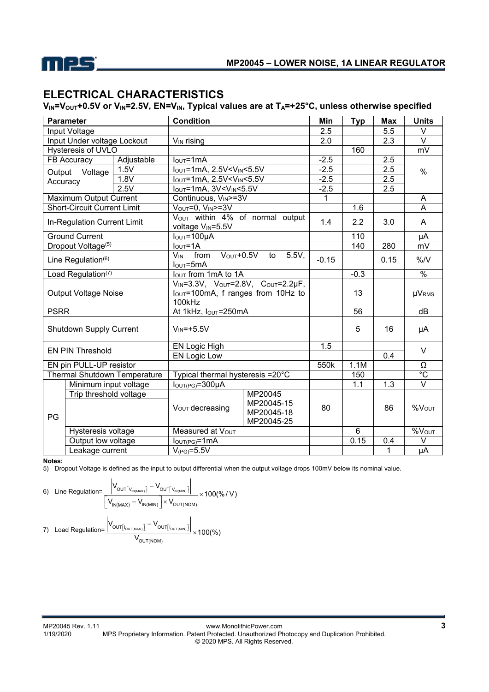

## **ELECTRICAL CHARACTERISTICS**

V<sub>IN</sub>=V<sub>OUT</sub>+0.5V or V<sub>IN</sub>=2.5V, EN=V<sub>IN</sub>, Typical values are at T<sub>A</sub>=+25°C, unless otherwise specified

| <b>Parameter</b>               |                                    | <b>Condition</b>                                                                                           |                                                                  | Min                                    | <b>Typ</b>       | <b>Max</b>       | <b>Units</b>                   |                   |  |
|--------------------------------|------------------------------------|------------------------------------------------------------------------------------------------------------|------------------------------------------------------------------|----------------------------------------|------------------|------------------|--------------------------------|-------------------|--|
| Input Voltage                  |                                    |                                                                                                            |                                                                  | 2.5                                    |                  | 5.5              | V                              |                   |  |
| Input Under voltage Lockout    |                                    | V <sub>IN</sub> rising                                                                                     |                                                                  | $\overline{2.0}$                       |                  | $\overline{2.3}$ | $\overline{\mathsf{v}}$        |                   |  |
|                                | Hysteresis of UVLO                 |                                                                                                            |                                                                  |                                        |                  | 160              |                                | mV                |  |
|                                | FB Accuracy                        | Adjustable                                                                                                 | $IOUT=1mA$                                                       |                                        | $-2.5$           | 2.5              |                                |                   |  |
|                                | Output Voltage                     | 1.5V                                                                                                       | $I_{OUT}$ =1mA, 2.5V <v<sub>IN&lt;5.5V</v<sub>                   |                                        | $-2.5$           |                  | 2.5                            | $\%$              |  |
|                                | Accuracy                           | 1.8V                                                                                                       | $I_{OUT}$ =1mA, 2.5V <v<sub>IN&lt;5.5V</v<sub>                   |                                        | $-2.5$           |                  | 2.5                            |                   |  |
|                                |                                    | 2.5V                                                                                                       | $IOUT=1mA, 3V< VIN < 5.5V$                                       |                                        | $-2.5$           |                  | 2.5                            |                   |  |
|                                | Maximum Output Current             |                                                                                                            | Continuous, VIN>=3V                                              |                                        | 1                |                  |                                | A                 |  |
|                                | <b>Short-Circuit Current Limit</b> |                                                                                                            | $VOUT=0, VIN=3V$                                                 |                                        |                  | 1.6              |                                | A                 |  |
|                                | In-Regulation Current Limit        |                                                                                                            | Vout within 4% of normal output<br>voltage V <sub>IN</sub> =5.5V |                                        | 1.4              | 2.2              | 3.0                            | $\mathsf{A}$      |  |
|                                | <b>Ground Current</b>              |                                                                                                            | $IOUT=100µA$                                                     |                                        |                  | 110              |                                | μA                |  |
|                                | Dropout Voltage <sup>(5)</sup>     |                                                                                                            | $IOUT=1A$                                                        |                                        |                  | 140              | 280                            | mV                |  |
| Line Regulation <sup>(6)</sup> |                                    | $V_{\text{OUT}} + 0.5V$<br>$5.5V$ ,<br>$V_{IN}$ from<br>to<br>$IOUT=5mA$                                   |                                                                  | $-0.15$                                |                  | 0.15             | %N                             |                   |  |
|                                | Load Regulation(7)                 |                                                                                                            | lout from 1mA to 1A                                              |                                        |                  | $-0.3$           |                                | $\frac{1}{2}$     |  |
| <b>Output Voltage Noise</b>    |                                    | $V_{IN} = 3.3V$ , $V_{OUT} = 2.8V$ , $C_{OUT} = 2.2\mu F$ ,<br>Iout=100mA, f ranges from 10Hz to<br>100kHz |                                                                  |                                        | 13               |                  | <b>µVRMS</b>                   |                   |  |
| <b>PSRR</b>                    |                                    | At 1kHz, lout=250mA                                                                                        |                                                                  |                                        | 56               |                  | dB                             |                   |  |
| Shutdown Supply Current        |                                    | $V_{IN} = +5.5V$                                                                                           |                                                                  |                                        | 5                | 16               | μA                             |                   |  |
|                                |                                    |                                                                                                            | EN Logic High                                                    |                                        | $\overline{1.5}$ |                  |                                | $\vee$            |  |
| <b>EN PIN Threshold</b>        |                                    | <b>EN Logic Low</b>                                                                                        |                                                                  |                                        |                  | 0.4              |                                |                   |  |
| EN pin PULL-UP resistor        |                                    |                                                                                                            |                                                                  | 550k                                   | 1.1M             |                  | Ω                              |                   |  |
| Thermal Shutdown Temperature   |                                    | Typical thermal hysteresis =20°C                                                                           |                                                                  |                                        | 150              |                  | $\overline{C}$                 |                   |  |
| Minimum input voltage          |                                    | $I_{\text{OUT(PG)}} = 300 \mu A$                                                                           |                                                                  |                                        | 1.1              | 1.3              | $\overline{\mathsf{v}}$        |                   |  |
|                                |                                    | Trip threshold voltage                                                                                     |                                                                  | MP20045                                |                  |                  |                                |                   |  |
| PG                             |                                    |                                                                                                            | V <sub>OUT</sub> decreasing                                      | MP20045-15<br>MP20045-18<br>MP20045-25 | 80               |                  | 86                             | %V <sub>OUT</sub> |  |
| Hysteresis voltage             |                                    | Measured at Vout                                                                                           |                                                                  |                                        | 6                |                  | $\overline{\%V_{\text{OUT}}}\$ |                   |  |
| Output low voltage             |                                    | $IOUT(PG)=1mA$                                                                                             |                                                                  |                                        | 0.15             | 0.4              | V                              |                   |  |
| Leakage current                |                                    | $V_{(PG)} = 5.5V$                                                                                          |                                                                  |                                        |                  | 1                | μA                             |                   |  |

**Notes:** 

5) Dropout Voltage is defined as the input to output differential when the output voltage drops 100mV below its nominal value.

6) Line Regulation=
$$
\frac{\left|V_{OUT[v_{IN(MANX})]}-V_{OUT[v_{IN(MINN})]}\right|}{\left[V_{IN(MAX)}-V_{IN(MIN)}\right] \times V_{OUT(NOM)}} \times 100(\% / V)
$$
  
7) Load Regulation=
$$
\frac{\left|V_{OUT[v_{OUT(MAN)]}}-V_{OUT[v_{OUT(MIN)]}}\right|}{V_{OUT(NOM)}} \times 100(\%)
$$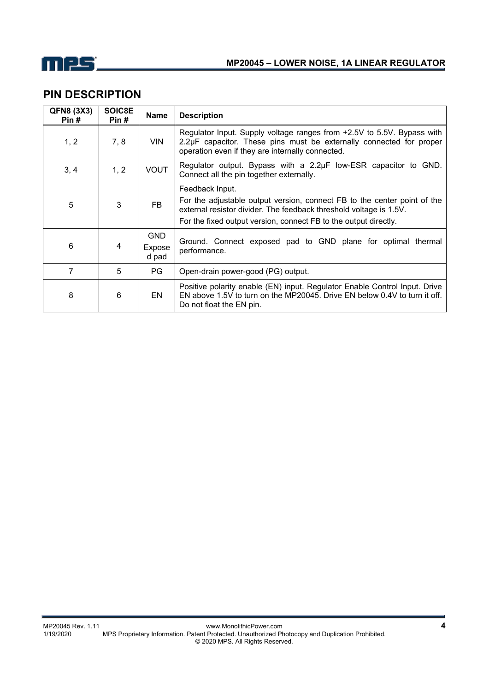

# **PIN DESCRIPTION**

| QFN8 (3X3)<br>Pin# | SOIC8E<br>Pin# | <b>Name</b>                   | <b>Description</b>                                                                                                                                                                                                                    |
|--------------------|----------------|-------------------------------|---------------------------------------------------------------------------------------------------------------------------------------------------------------------------------------------------------------------------------------|
| 1, 2               | 7, 8           | <b>VIN</b>                    | Regulator Input. Supply voltage ranges from +2.5V to 5.5V. Bypass with<br>2.2µF capacitor. These pins must be externally connected for proper<br>operation even if they are internally connected.                                     |
| 3, 4               | 1, 2           | <b>VOUT</b>                   | Regulator output. Bypass with a 2.2µF low-ESR capacitor to GND.<br>Connect all the pin together externally.                                                                                                                           |
| 5                  | 3              | FB.                           | Feedback Input.<br>For the adjustable output version, connect FB to the center point of the<br>external resistor divider. The feedback threshold voltage is 1.5V.<br>For the fixed output version, connect FB to the output directly. |
| 6                  | 4              | <b>GND</b><br>Expose<br>d pad | Ground. Connect exposed pad to GND plane for optimal thermal<br>performance.                                                                                                                                                          |
| 7                  | 5              | <b>PG</b>                     | Open-drain power-good (PG) output.                                                                                                                                                                                                    |
| 8                  | 6              | <b>EN</b>                     | Positive polarity enable (EN) input. Regulator Enable Control Input. Drive<br>EN above 1.5V to turn on the MP20045. Drive EN below 0.4V to turn it off.<br>Do not float the EN pin.                                                   |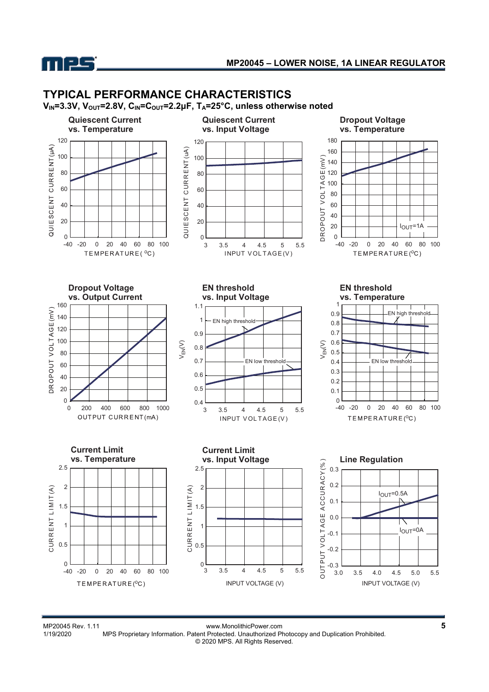

## **TYPICAL PERFORMANCE CHARACTERISTICS**

**V<sub>IN</sub>=3.3V, V<sub>OUT</sub>=2.8V, C<sub>IN</sub>=C<sub>OUT</sub>=2.2μF, T<sub>A</sub>=25°C, unless otherwise noted** 



MP20045 Rev. 1.11 www.MonolithicPower.com<br>1/19/2020 MPS Proprietary Information. Patent Protected. Unauthorized Photocopy and Duplication Prohibited. MPS Proprietary Information. Patent Protected. Unauthorized Photocopy and Duplication Prohibited. © 2020 MPS. All Rights Reserved.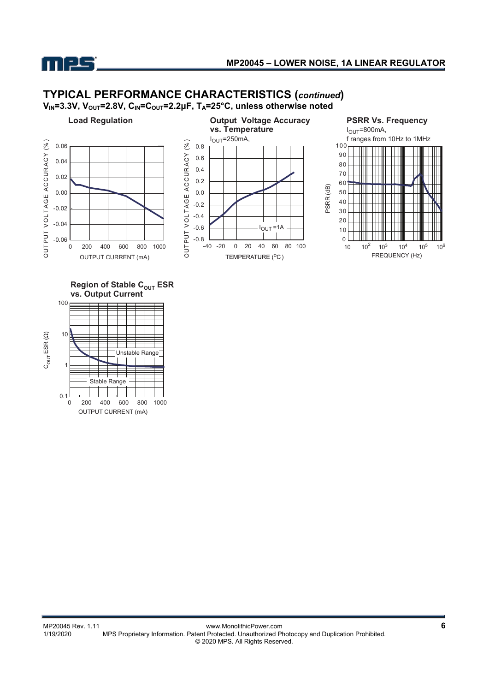

0 200 400 600 800 1000 OUTPUT CURRENT (mA)

# **TYPICAL PERFORMANCE CHARACTERISTICS (***continued***)**

**V<sub>IN</sub>=3.3V, V<sub>OUT</sub>=2.8V, C<sub>IN</sub>=C<sub>OUT</sub>=2.2μF, T<sub>A</sub>=25°C, unless otherwise noted** 

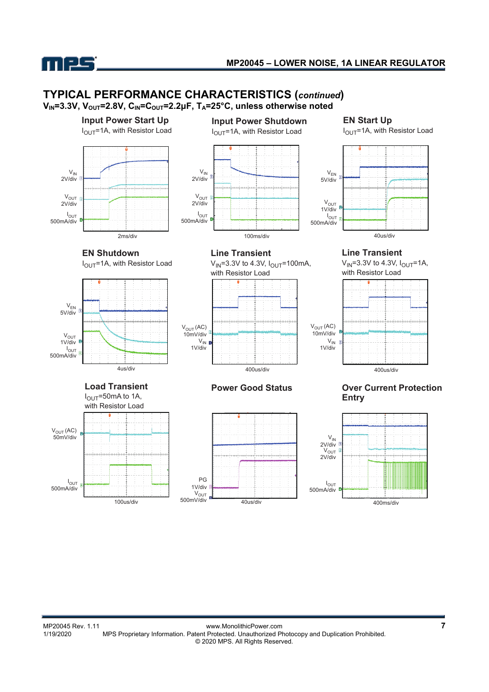

# **TYPICAL PERFORMANCE CHARACTERISTICS (***continued***)**

**VIN=3.3V, VOUT=2.8V, CIN=COUT=2.2μF, TA=25°C, unless otherwise noted** 

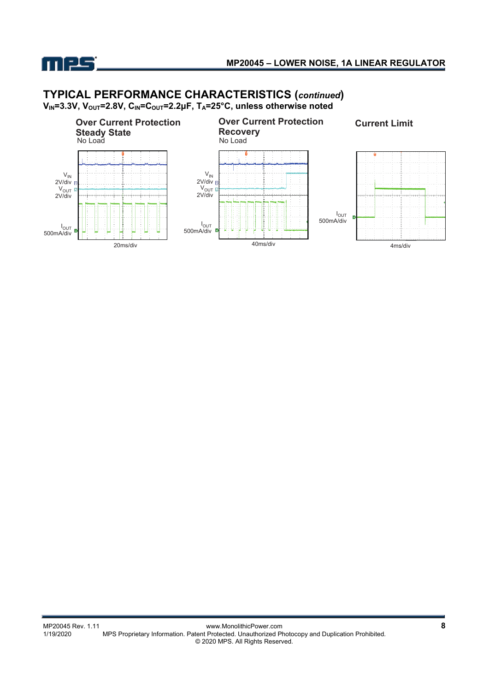

# **TYPICAL PERFORMANCE CHARACTERISTICS (***continued***)**

**V<sub>IN</sub>=3.3V, V<sub>OUT</sub>=2.8V, C<sub>IN</sub>=C<sub>OUT</sub>=2.2μF, T<sub>A</sub>=25°C, unless otherwise noted** 

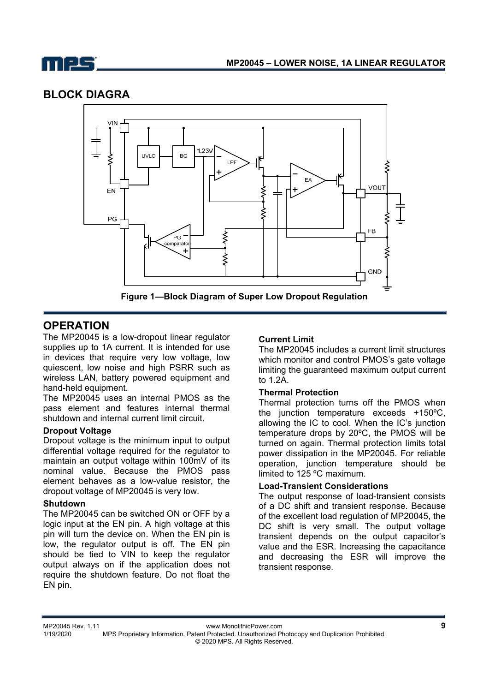

## **BLOCK DIAGRA**



## **OPERATION**

The MP20045 is a low-dropout linear regulator supplies up to 1A current. It is intended for use in devices that require very low voltage, low quiescent, low noise and high PSRR such as wireless LAN, battery powered equipment and hand-held equipment.

The MP20045 uses an internal PMOS as the pass element and features internal thermal shutdown and internal current limit circuit.

#### **Dropout Voltage**

Dropout voltage is the minimum input to output differential voltage required for the regulator to maintain an output voltage within 100mV of its nominal value. Because the PMOS pass element behaves as a low-value resistor, the dropout voltage of MP20045 is very low.

#### **Shutdown**

The MP20045 can be switched ON or OFF by a logic input at the EN pin. A high voltage at this pin will turn the device on. When the EN pin is low, the regulator output is off. The EN pin should be tied to VIN to keep the regulator output always on if the application does not require the shutdown feature. Do not float the EN pin.

#### **Current Limit**

The MP20045 includes a current limit structures which monitor and control PMOS's gate voltage limiting the guaranteed maximum output current to 1.2A.

#### **Thermal Protection**

Thermal protection turns off the PMOS when the junction temperature exceeds +150ºC, allowing the IC to cool. When the IC's junction temperature drops by 20ºC, the PMOS will be turned on again. Thermal protection limits total power dissipation in the MP20045. For reliable operation, junction temperature should be limited to 125 ºC maximum.

### **Load-Transient Considerations**

The output response of load-transient consists of a DC shift and transient response. Because of the excellent load regulation of MP20045, the DC shift is very small. The output voltage transient depends on the output capacitor's value and the ESR. Increasing the capacitance and decreasing the ESR will improve the transient response.

MP20045 Rev. 1.11 www.MonolithicPower.com **9** MPS Proprietary Information. Patent Protected. Unauthorized Photocopy and Duplication Prohibited. © 2020 MPS. All Rights Reserved.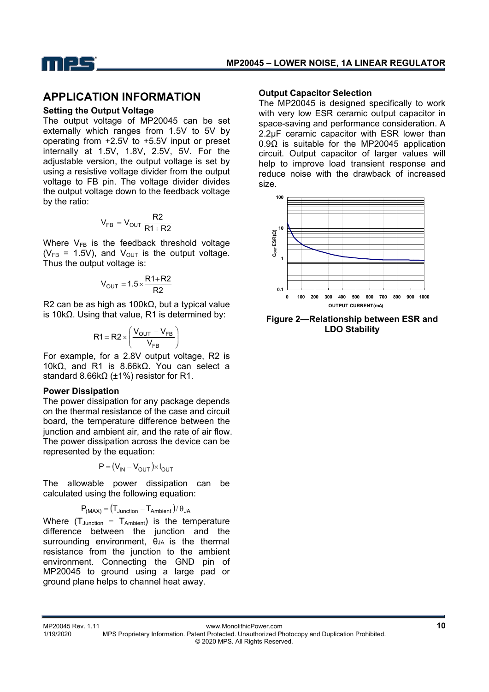

### **APPLICATION INFORMATION**

#### **Setting the Output Voltage**

The output voltage of MP20045 can be set externally which ranges from 1.5V to 5V by operating from +2.5V to +5.5V input or preset internally at 1.5V, 1.8V, 2.5V, 5V. For the adjustable version, the output voltage is set by using a resistive voltage divider from the output voltage to FB pin. The voltage divider divides the output voltage down to the feedback voltage by the ratio:

$$
V_{FB} = V_{OUT} \frac{R2}{R1 + R2}
$$

Where  $V_{FB}$  is the feedback threshold voltage ( $V_{FB}$  = 1.5V), and  $V_{OUT}$  is the output voltage. Thus the output voltage is:

$$
V_{OUT} = 1.5 \times \frac{R1 + R2}{R2}
$$

R2 can be as high as 100kΩ, but a typical value is 10kΩ. Using that value, R1 is determined by:

$$
R1 = R2 \times \left(\frac{V_{OUT} - V_{FB}}{V_{FB}}\right)
$$

For example, for a 2.8V output voltage, R2 is 10kΩ, and R1 is 8.66kΩ. You can select a standard 8.66kΩ (±1%) resistor for R1.

#### **Power Dissipation**

The power dissipation for any package depends on the thermal resistance of the case and circuit board, the temperature difference between the junction and ambient air, and the rate of air flow. The power dissipation across the device can be represented by the equation:

$$
P = (V_{IN} - V_{OUT}) \times I_{OUT}
$$

The allowable power dissipation can be calculated using the following equation:

$$
P_{(MAX)} = (T_{Junction} - T_{Ambient}) / \theta_{JA}
$$

Where  $(T_{\text{Junction}} - T_{\text{Ambient}})$  is the temperature difference between the junction and the surrounding environment,  $\theta$ JA is the thermal resistance from the junction to the ambient environment. Connecting the GND pin of MP20045 to ground using a large pad or ground plane helps to channel heat away.

#### **Output Capacitor Selection**

The MP20045 is designed specifically to work with very low ESR ceramic output capacitor in space-saving and performance consideration. A 2.2µF ceramic capacitor with ESR lower than 0.9Ω is suitable for the MP20045 application circuit. Output capacitor of larger values will help to improve load transient response and reduce noise with the drawback of increased size.



**Figure 2—Relationship between ESR and LDO Stability**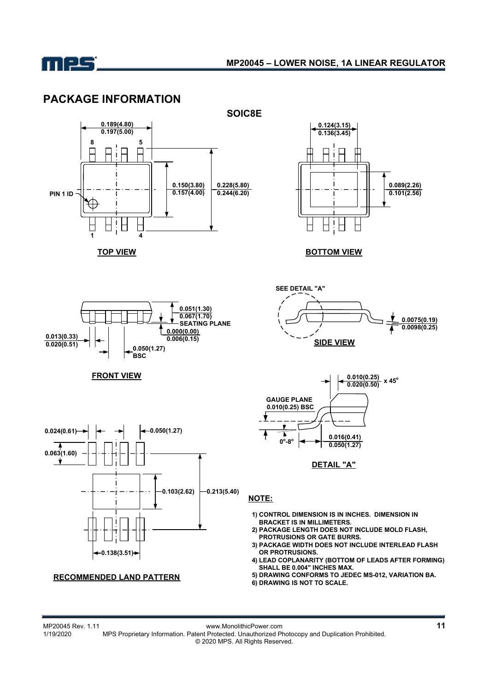

## **PACKAGE INFORMATION**





**BOTTOM VIEW**



**FRONT VIEW**





### **RECOMMENDED LAND PATTERN**



**DETAIL "A"**

### **NOTE:**

- **1) CONTROL DIMENSION IS IN INCHES. DIMENSION IN BRACKET IS IN MILLIMETERS.**
- **2) PACKAGE LENGTH DOES NOT INCLUDE MOLD FLASH, PROTRUSIONS OR GATE BURRS.**
- **3) PACKAGE WIDTH DOES NOT INCLUDE INTERLEAD FLASH OR PROTRUSIONS.**
- **4) LEAD COPLANARITY (BOTTOM OF LEADS AFTER FORMING)** SHALL BE 0.004" INCHES MAX.
- **5) DRAWING CONFORMS TO JEDEC MS-012, VARIATION BA.**
- **6) DRAWING IS NOT TO SCALE.**